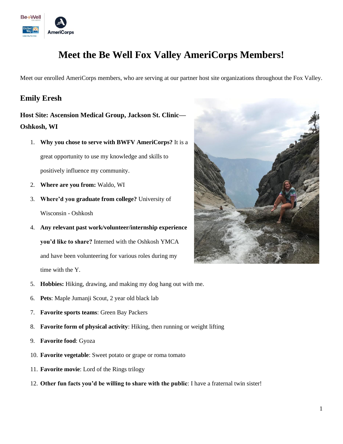

## **Meet the Be Well Fox Valley AmeriCorps Members!**

Meet our enrolled AmeriCorps members, who are serving at our partner host site organizations throughout the Fox Valley.

## **Emily Eresh**

**Host Site: Ascension Medical Group, Jackson St. Clinic— Oshkosh, WI** 

- 1. **Why you chose to serve with BWFV AmeriCorps?** It is a great opportunity to use my knowledge and skills to positively influence my community.
- 2. **Where are you from:** Waldo, WI
- 3. **Where'd you graduate from college?** University of Wisconsin - Oshkosh
- 4. **Any relevant past work/volunteer/internship experience you'd like to share?** Interned with the Oshkosh YMCA and have been volunteering for various roles during my time with the Y.
- 5. **Hobbies:** Hiking, drawing, and making my dog hang out with me.
- 6. **Pets**: Maple Jumanji Scout, 2 year old black lab
- 7. **Favorite sports teams**: Green Bay Packers
- 8. **Favorite form of physical activity**: Hiking, then running or weight lifting
- 9. **Favorite food**: Gyoza
- 10. **Favorite vegetable**: Sweet potato or grape or roma tomato
- 11. **Favorite movie**: Lord of the Rings trilogy
- 12. **Other fun facts you'd be willing to share with the public**: I have a fraternal twin sister!

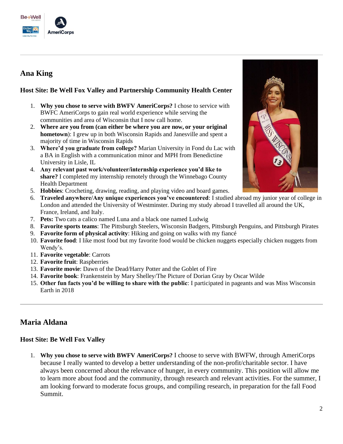

## **Ana King**

### **Host Site: Be Well Fox Valley and Partnership Community Health Center**

- 1. **Why you chose to serve with BWFV AmeriCorps?** I chose to service with BWFC AmeriCorps to gain real world experience while serving the communities and area of Wisconsin that I now call home.
- 2. **Where are you from (can either be where you are now, or your original hometown**): I grew up in both Wisconsin Rapids and Janesville and spent a majority of time in Wisconsin Rapids
- 3. **Where'd you graduate from college?** Marian University in Fond du Lac with a BA in English with a communication minor and MPH from Benedictine University in Lisle, IL
- 4. **Any relevant past work/volunteer/internship experience you'd like to share?** I completed my internship remotely through the Winnebago County Health Department
- 5. **Hobbies**: Crocheting, drawing, reading, and playing video and board games.
- 6. **Traveled anywhere/Any unique experiences you've encountered**: I studied abroad my junior year of college in London and attended the University of Westminster. During my study abroad I travelled all around the UK, France, Ireland, and Italy.
- 7. **Pets:** Two cats a calico named Luna and a black one named Ludwig
- 8. **Favorite sports teams**: The Pittsburgh Steelers, Wisconsin Badgers, Pittsburgh Penguins, and Pittsburgh Pirates
- 9. **Favorite form of physical activity**: Hiking and going on walks with my fiancé
- 10. **Favorite food**: I like most food but my favorite food would be chicken nuggets especially chicken nuggets from Wendy's.
- 11. **Favorite vegetable**: Carrots
- 12. **Favorite fruit**: Raspberries
- 13. **Favorite movie**: Dawn of the Dead/Harry Potter and the Goblet of Fire
- 14. **Favorite book**: Frankenstein by Mary Shelley/The Picture of Dorian Gray by Oscar Wilde
- 15. **Other fun facts you'd be willing to share with the public**: I participated in pageants and was Miss Wisconsin Earth in 2018

## **Maria Aldana**

## **Host Site: Be Well Fox Valley**

1. **Why you chose to serve with BWFV AmeriCorps?** I choose to serve with BWFW, through AmeriCorps because I really wanted to develop a better understanding of the non-profit/charitable sector. I have always been concerned about the relevance of hunger, in every community. This position will allow me to learn more about food and the community, through research and relevant activities. For the summer, I am looking forward to moderate focus groups, and compiling research, in preparation for the fall Food Summit.

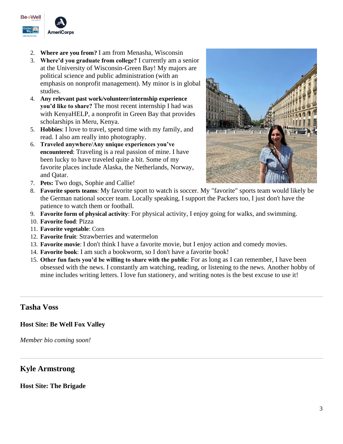

- 2. **Where are you from?** I am from Menasha, Wisconsin
- 3. **Where'd you graduate from college?** I currently am a senior at the University of Wisconsin-Green Bay! My majors are political science and public administration (with an emphasis on nonprofit management). My minor is in global studies.
- 4. **Any relevant past work/volunteer/internship experience you'd like to share?** The most recent internship I had was with KenyaHELP, a nonprofit in Green Bay that provides scholarships in Meru, Kenya.
- 5. **Hobbies**: I love to travel, spend time with my family, and read. I also am really into photography.
- 6. **Traveled anywhere/Any unique experiences you've encountered**: Traveling is a real passion of mine. I have been lucky to have traveled quite a bit. Some of my favorite places include Alaska, the Netherlands, Norway, and Qatar.
- 
- 7. **Pets:** Two dogs, Sophie and Callie!
- 8. **Favorite sports teams**: My favorite sport to watch is soccer. My "favorite" sports team would likely be the German national soccer team. Locally speaking, I support the Packers too, I just don't have the patience to watch them or football.
- 9. **Favorite form of physical activity**: For physical activity, I enjoy going for walks, and swimming.
- 10. **Favorite food**: Pizza
- 11. **Favorite vegetable**: Corn
- 12. **Favorite fruit**: Strawberries and watermelon
- 13. **Favorite movie**: I don't think I have a favorite movie, but I enjoy action and comedy movies.
- 14. **Favorite book**: I am such a bookworm, so I don't have a favorite book!
- 15. **Other fun facts you'd be willing to share with the public**: For as long as I can remember, I have been obsessed with the news. I constantly am watching, reading, or listening to the news. Another hobby of mine includes writing letters. I love fun stationery, and writing notes is the best excuse to use it!

#### **Tasha Voss**

#### **Host Site: Be Well Fox Valley**

*Member bio coming soon!*

#### **Kyle Armstrong**

**Host Site: The Brigade**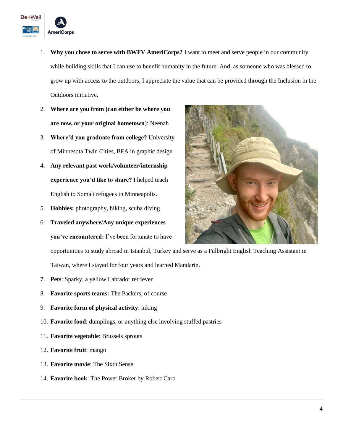

- 1. **Why you chose to serve with BWFV AmeriCorps?** I want to meet and serve people in our community while building skills that I can use to benefit humanity in the future. And, as someone who was blessed to grow up with access to the outdoors, I appreciate the value that can be provided through the Inclusion in the Outdoors initiative.
- 2. **Where are you from (can either be where you are now, or your original hometown**): Neenah
- 3. **Where'd you graduate from college?** University of Minnesota Twin Cities, BFA in graphic design
- 4. **Any relevant past work/volunteer/internship experience you'd like to share?** I helped teach English to Somali refugees in Minneapolis.
- 5. **Hobbies:** photography, hiking, scuba diving
- 6. **Traveled anywhere/Any unique experiences you've encountered:** I've been fortunate to have



opportunities to study abroad in Istanbul, Turkey and serve as a Fulbright English Teaching Assistant in Taiwan, where I stayed for four years and learned Mandarin.

- 7. **Pets**: Sparky, a yellow Labrador retriever
- 8. **Favorite sports teams:** The Packers, of course
- 9. **Favorite form of physical activity**: hiking
- 10. **Favorite food**: dumplings, or anything else involving stuffed pastries
- 11. **Favorite vegetable**: Brussels sprouts
- 12. **Favorite fruit**: mango
- 13. **Favorite movie**: The Sixth Sense
- 14. **Favorite book**: The Power Broker by Robert Caro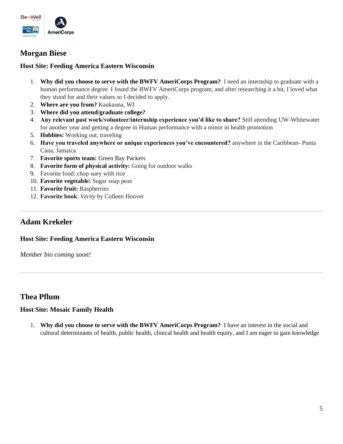

## **Morgan Biese**

#### **Host Site: Feeding America Eastern Wisconsin**

- 1. **Why did you choose to serve with the BWFV AmeriCorps Program?** I need an internship to graduate with a human performance degree. I found the BWFV AmeriCorps program, and after researching it a bit, I loved what they stood for and their values so I decided to apply.
- 2. **Where are you from?** Kaukauna, WI
- 3. **Where did you attend/graduate college?**
- 4. **Any relevant past work/volunteer/internship experience you'd like to share?** Still attending UW-Whitewater for another year and getting a degree in Human performance with a minor in health promotion
- 5. **Hobbies:** Working out, traveling
- 6. **Have you traveled anywhere or unique experiences you've encountered?** anywhere in the Caribbean- Punta Cana, Jamaica
- 7. **Favorite sports team:** Green Bay Packers
- 8. **Favorite form of physical activity:** Going for outdoor walks
- 9. Favorite food: chop suey with rice
- 10. **Favorite vegetable:** Sugar snap peas
- 11. **Favorite fruit:** Raspberries
- 12. **Favorite book**: *Verity* by Colleen Hoover

## **Adam Krekeler**

#### **Host Site: Feeding America Eastern Wisconsin**

*Member bio coming soon!*

## **Thea Pflum**

#### **Host Site: Mosaic Family Health**

1. **Why did you choose to serve with the BWFV AmeriCorps Program?** I have an interest in the social and cultural determinants of health, public health, clinical health and health equity, and I am eager to gain knowledge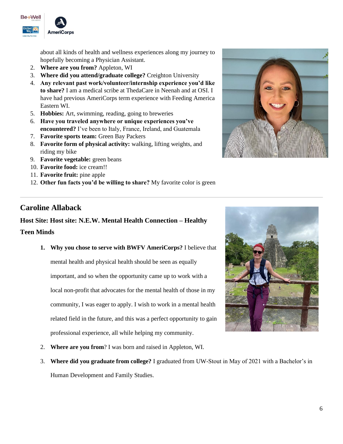

about all kinds of health and wellness experiences along my journey to hopefully becoming a Physician Assistant.

- 2. **Where are you from?** Appleton, WI
- 3. **Where did you attend/graduate college?** Creighton University
- 4. **Any relevant past work/volunteer/internship experience you'd like to share?** I am a medical scribe at ThedaCare in Neenah and at OSI. I have had previous AmeriCorps term experience with Feeding America Eastern WI.
- 5. **Hobbies:** Art, swimming, reading, going to breweries
- 6. **Have you traveled anywhere or unique experiences you've encountered?** I've been to Italy, France, Ireland, and Guatemala
- 7. **Favorite sports team:** Green Bay Packers
- 8. **Favorite form of physical activity:** walking, lifting weights, and riding my bike
- 9. **Favorite vegetable:** green beans
- 10. **Favorite food:** ice cream!!
- 11. **Favorite fruit:** pine apple
- 12. **Other fun facts you'd be willing to share?** My favorite color is green



#### **Caroline Allaback**

# **Host Site: Host site: N.E.W. Mental Health Connection – Healthy**

#### **Teen Minds**

**1. Why you chose to serve with BWFV AmeriCorps?** I believe that

mental health and physical health should be seen as equally important, and so when the opportunity came up to work with a local non-profit that advocates for the mental health of those in my community, I was eager to apply. I wish to work in a mental health related field in the future, and this was a perfect opportunity to gain professional experience, all while helping my community.



- 2. **Where are you from**? I was born and raised in Appleton, WI.
- 3. **Where did you graduate from college?** I graduated from UW-Stout in May of 2021 with a Bachelor's in Human Development and Family Studies.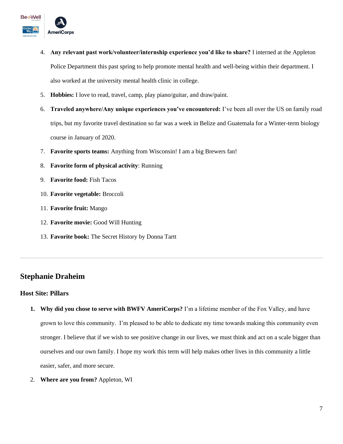

- 4. **Any relevant past work/volunteer/internship experience you'd like to share?** I interned at the Appleton Police Department this past spring to help promote mental health and well-being within their department. I also worked at the university mental health clinic in college.
- 5. **Hobbies:** I love to read, travel, camp, play piano/guitar, and draw/paint.
- 6. **Traveled anywhere/Any unique experiences you've encountered:** I've been all over the US on family road trips, but my favorite travel destination so far was a week in Belize and Guatemala for a Winter-term biology course in January of 2020.
- 7. **Favorite sports teams:** Anything from Wisconsin! I am a big Brewers fan!
- 8. **Favorite form of physical activity**: Running
- 9. **Favorite food:** Fish Tacos
- 10. **Favorite vegetable:** Broccoli
- 11. **Favorite fruit:** Mango
- 12. **Favorite movie:** Good Will Hunting
- 13. **Favorite book:** The Secret History by Donna Tartt

## **Stephanie Draheim**

#### **Host Site: Pillars**

- **1. Why did you chose to serve with BWFV AmeriCorps?** I'm a lifetime member of the Fox Valley, and have grown to love this community. I'm pleased to be able to dedicate my time towards making this community even stronger. I believe that if we wish to see positive change in our lives, we must think and act on a scale bigger than ourselves and our own family. I hope my work this term will help makes other lives in this community a little easier, safer, and more secure.
- 2. **Where are you from?** Appleton, WI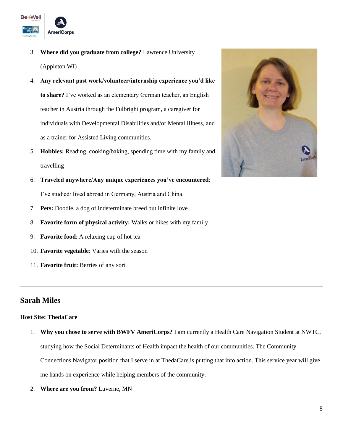

- 3. **Where did you graduate from college?** Lawrence University (Appleton WI)
- 4. **Any relevant past work/volunteer/internship experience you'd like to share?** I've worked as an elementary German teacher, an English teacher in Austria through the Fulbright program, a caregiver for individuals with Developmental Disabilities and/or Mental Illness, and as a trainer for Assisted Living communities.
- 5. **Hobbies:** Reading, cooking/baking, spending time with my family and travelling
- 6. **Traveled anywhere/Any unique experiences you've encountered**: I've studied/ lived abroad in Germany, Austria and China.
- 7. **Pets:** Doodle, a dog of indeterminate breed but infinite love
- 8. **Favorite form of physical activity:** Walks or hikes with my family
- 9. **Favorite food**: A relaxing cup of hot tea
- 10. **Favorite vegetable**: Varies with the season
- 11. **Favorite fruit:** Berries of any sort

## **Sarah Miles**

#### **Host Site: ThedaCare**

- 1. **Why you chose to serve with BWFV AmeriCorps?** I am currently a Health Care Navigation Student at NWTC, studying how the Social Determinants of Health impact the health of our communities. The Community Connections Navigator position that I serve in at ThedaCare is putting that into action. This service year will give me hands on experience while helping members of the community.
- 2. **Where are you from?** Luverne, MN

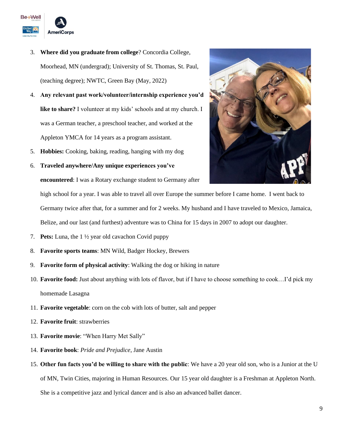

- 3. **Where did you graduate from college**? Concordia College, Moorhead, MN (undergrad); University of St. Thomas, St. Paul, (teaching degree); NWTC, Green Bay (May, 2022)
- 4. **Any relevant past work/volunteer/internship experience you'd**  like to share? I volunteer at my kids' schools and at my church. I was a German teacher, a preschool teacher, and worked at the Appleton YMCA for 14 years as a program assistant.
- 5. **Hobbies:** Cooking, baking, reading, hanging with my dog
- 6. **Traveled anywhere/Any unique experiences you've encountered**: I was a Rotary exchange student to Germany after



high school for a year. I was able to travel all over Europe the summer before I came home. I went back to Germany twice after that, for a summer and for 2 weeks. My husband and I have traveled to Mexico, Jamaica, Belize, and our last (and furthest) adventure was to China for 15 days in 2007 to adopt our daughter.

- 7. **Pets:** Luna, the 1 ½ year old cavachon Covid puppy
- 8. **Favorite sports teams**: MN Wild, Badger Hockey, Brewers
- 9. **Favorite form of physical activity**: Walking the dog or hiking in nature
- 10. **Favorite food:** Just about anything with lots of flavor, but if I have to choose something to cook…I'd pick my homemade Lasagna
- 11. **Favorite vegetable**: corn on the cob with lots of butter, salt and pepper
- 12. **Favorite fruit**: strawberries
- 13. **Favorite movie**: "When Harry Met Sally"
- 14. **Favorite book**: *Pride and Prejudice*, Jane Austin
- 15. **Other fun facts you'd be willing to share with the public**: We have a 20 year old son, who is a Junior at the U of MN, Twin Cities, majoring in Human Resources. Our 15 year old daughter is a Freshman at Appleton North. She is a competitive jazz and lyrical dancer and is also an advanced ballet dancer.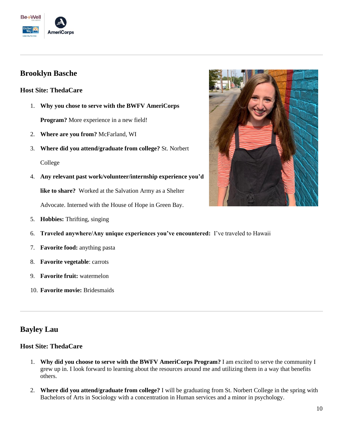

## **Brooklyn Basche**

#### **Host Site: ThedaCare**

- 1. **Why you chose to serve with the BWFV AmeriCorps Program?** More experience in a new field!
- 2. **Where are you from?** McFarland, WI
- 3. **Where did you attend/graduate from college?** St. Norbert College
- 4. **Any relevant past work/volunteer/internship experience you'd like to share?** Worked at the Salvation Army as a Shelter Advocate. Interned with the House of Hope in Green Bay.
- 5. **Hobbies:** Thrifting, singing
- 6. **Traveled anywhere/Any unique experiences you've encountered:** I've traveled to Hawaii
- 7. **Favorite food:** anything pasta
- 8. **Favorite vegetable**: carrots
- 9. **Favorite fruit:** watermelon
- 10. **Favorite movie:** Bridesmaids

## **Bayley Lau**

#### **Host Site: ThedaCare**

- 1. **Why did you choose to serve with the BWFV AmeriCorps Program?** I am excited to serve the community I grew up in. I look forward to learning about the resources around me and utilizing them in a way that benefits others.
- 2. **Where did you attend/graduate from college?** I will be graduating from St. Norbert College in the spring with Bachelors of Arts in Sociology with a concentration in Human services and a minor in psychology.

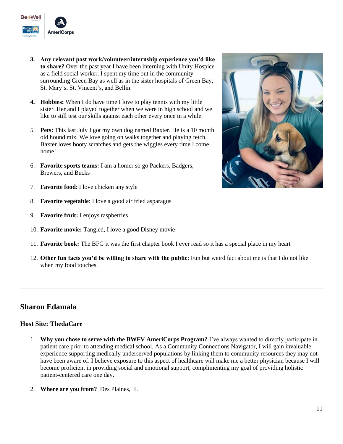

- **3. Any relevant past work/volunteer/internship experience you'd like to share?** Over the past year I have been interning with Unity Hospice as a field social worker. I spent my time out in the community surrounding Green Bay as well as in the sister hospitals of Green Bay, St. Mary's, St. Vincent's, and Bellin.
- **4. Hobbies:** When I do have time I love to play tennis with my little sister. Her and I played together when we were in high school and we like to still test our skills against each other every once in a while.
- 5. **Pets:** This last July I got my own dog named Baxter. He is a 10 month old hound mix. We love going on walks together and playing fetch. Baxter loves booty scratches and gets the wiggles every time I come home!
- 6. **Favorite sports teams:** I am a homer so go Packers, Badgers, Brewers, and Bucks



- 7. **Favorite food**: I love chicken any style
- 8. **Favorite vegetable**: I love a good air fried asparagus
- 9. **Favorite fruit:** I enjoys raspberries
- 10. **Favorite movie:** Tangled, I love a good Disney movie
- 11. **Favorite book:** The BFG it was the first chapter book I ever read so it has a special place in my heart
- 12. **Other fun facts you'd be willing to share with the public**: Fun but weird fact about me is that I do not like when my food touches.

## **Sharon Edamala**

#### **Host Site: ThedaCare**

- 1. **Why you chose to serve with the BWFV AmeriCorps Program?** I've always wanted to directly participate in patient care prior to attending medical school. As a Community Connections Navigator, I will gain invaluable experience supporting medically underserved populations by linking them to community resources they may not have been aware of. I believe exposure to this aspect of healthcare will make me a better physician because I will become proficient in providing social and emotional support, complimenting my goal of providing holistic patient-centered care one day.
- 2. **Where are you from?** Des Plaines, IL